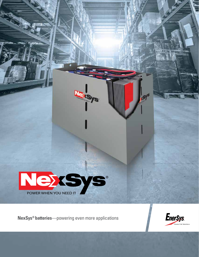

<u> 111111111111111111111111111111</u>

(S)

**Lexsys** 

**NexSys® batteries**—powering even more applications

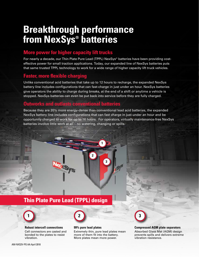## **Breakthrough performance from NexSys® batteries**

#### **More power for higher capacity lift trucks**

For nearly a decade, our Thin Plate Pure Lead (TPPL) NexSys® batteries have been providing costeffective power for small traction applications. Today, our expanded line of NexSys batteries puts that same trusted TPPL technology to work for a wide range of higher capacity lift truck vehicles.

#### **Faster, more flexible charging**

Unlike conventional acid batteries that take up to 12 hours to recharge, the expanded NexSys battery line includes configurations that can fast-charge in just under an hour. NexSys batteries give operators the ability to charge during breaks, at the end of a shift or anytime a vehicle is stopped. NexSys batteries can even be put back into service before they are fully charged.

#### **Outworks and outlasts conventional batteries**

Because they are 20% more energy-dense than conventional lead acid batteries, the expanded NexSys battery line includes configurations that can fast charge in just under an hour and be opportunity charged to work for up to 16 hours. For operators, virtually maintenance-free NexSys batteries involve little work at all – no watering, changing or spills.

**1**

**3**

**2**

## **Thin Plate Pure Lead (TPPL) design**



**Robust intercell connections**  Cell connectors are casted and bonded to the plates to resist vibration.



#### **99% pure lead plates**

Extremely thin, pure lead plates mean more of them fit into the battery. More plates mean more power.



#### **Compressed AGM plate separators**

Absorbed Glass Mat (AGM) design prevents spills and delivers extreme vibration resistance.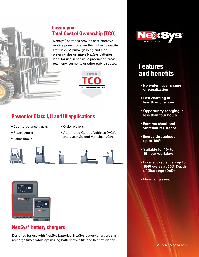

#### **Lower your Total Cost of Ownership (TCO)**

NexSys® batteries provide cost-effective motive power for even the highest capacity lift trucks. Minimal-gassing and a nowatering design make NexSys batteries ideal for use in sensitive production areas, retail environments or other public spaces.<br>**Features** 



#### **Power for Class I, II and III applications**

- Counterbalance trucks
- Order pickers

- Reach trucks
- Pallet trucks







• Automated Guided Vehicles (AGVs) and Laser Guided Vehicles (LGVs)



#### **NexSys® battery chargers**

Designed for use with NexSys batteries, NexSys battery chargers slash recharge times while optimizing battery cycle life and fleet efficiency.



# **and benefits**

- **No watering, changing or equalization**
- **• Fast charging in less than one hour**
- **• Opportunity charging in less than four hours**
- **Extreme shock and vibration resistance**
- **Energy throughput up to 160%**
- **• Suitable for 10- to 16-hour workdays**
- **Excellent cycle life up to 1540 cycles at 60% Depth of Discharge (DoD)**
- **Minimal gassing**